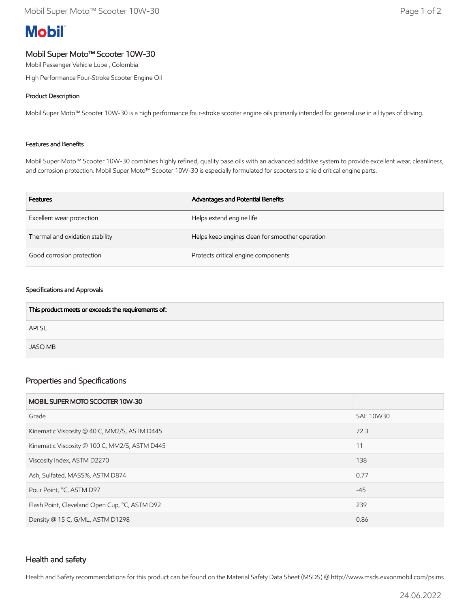# **Mobil**

## Mobil Super Moto™ Scooter 10W-30

Mobil Passenger Vehicle Lube , Colombia

High Performance Four-Stroke Scooter Engine Oil

## Product Description

Mobil Super Moto™ Scooter 10W-30 is a high performance four-stroke scooter engine oils primarily intended for general use in all types of driving.

#### Features and Benefits

Mobil Super Moto™ Scooter 10W-30 combines highly refined, quality base oils with an advanced additive system to provide excellent wear, cleanliness, and corrosion protection. Mobil Super Moto™ Scooter 10W-30 is especially formulated for scooters to shield critical engine parts.

| <b>Features</b>                 | Advantages and Potential Benefits               |
|---------------------------------|-------------------------------------------------|
| Excellent wear protection       | Helps extend engine life                        |
| Thermal and oxidation stability | Helps keep engines clean for smoother operation |
| Good corrosion protection       | Protects critical engine components             |

#### Specifications and Approvals

| This product meets or exceeds the requirements of: |  |
|----------------------------------------------------|--|
| <b>APISL</b>                                       |  |
| <b>JASO MB</b>                                     |  |

## Properties and Specifications

| MOBIL SUPER MOTO SCOOTER 10W-30               |                  |
|-----------------------------------------------|------------------|
| Grade                                         | <b>SAE 10W30</b> |
| Kinematic Viscosity @ 40 C, MM2/S, ASTM D445  | 72.3             |
| Kinematic Viscosity @ 100 C, MM2/S, ASTM D445 | 11               |
| Viscosity Index, ASTM D2270                   | 138              |
| Ash, Sulfated, MASS%, ASTM D874               | 0.77             |
| Pour Point, °C, ASTM D97                      | $-45$            |
| Flash Point, Cleveland Open Cup, °C, ASTM D92 | 239              |
| Density @ 15 C, G/ML, ASTM D1298              | 0.86             |

## Health and safety

Health and Safety recommendations for this product can be found on the Material Safety Data Sheet (MSDS) @ http://www.msds.exxonmobil.com/psims